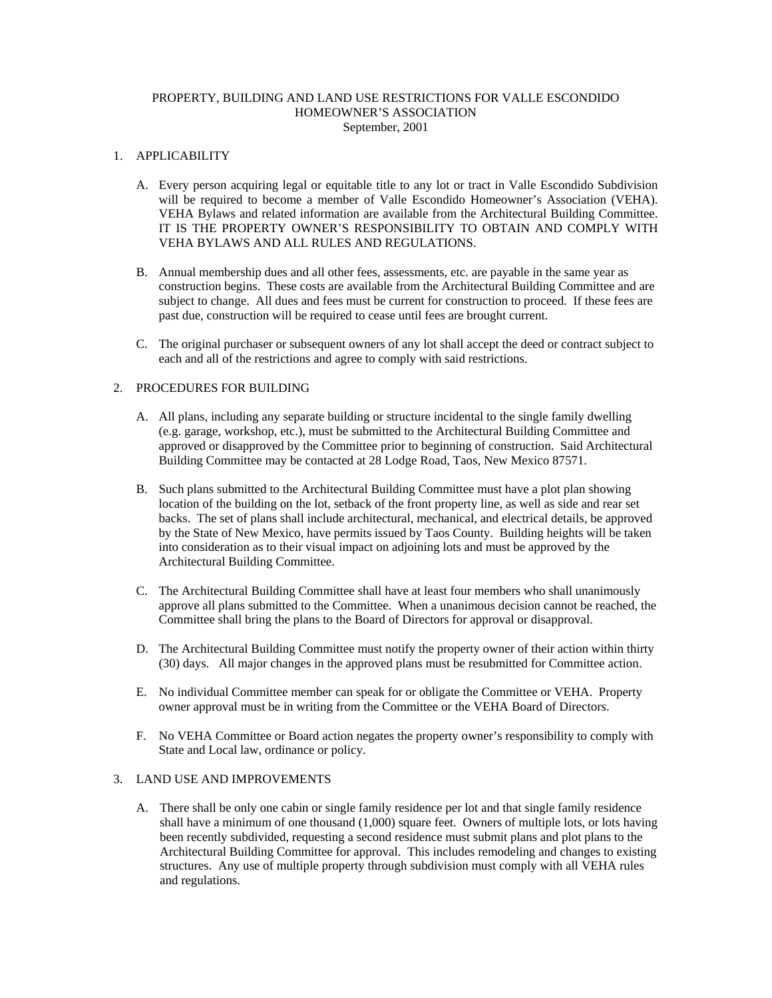### PROPERTY, BUILDING AND LAND USE RESTRICTIONS FOR VALLE ESCONDIDO HOMEOWNER'S ASSOCIATION September, 2001

#### 1. APPLICABILITY

- A. Every person acquiring legal or equitable title to any lot or tract in Valle Escondido Subdivision will be required to become a member of Valle Escondido Homeowner's Association (VEHA). VEHA Bylaws and related information are available from the Architectural Building Committee. IT IS THE PROPERTY OWNER'S RESPONSIBILITY TO OBTAIN AND COMPLY WITH VEHA BYLAWS AND ALL RULES AND REGULATIONS.
- B. Annual membership dues and all other fees, assessments, etc. are payable in the same year as construction begins. These costs are available from the Architectural Building Committee and are subject to change. All dues and fees must be current for construction to proceed. If these fees are past due, construction will be required to cease until fees are brought current.
- C. The original purchaser or subsequent owners of any lot shall accept the deed or contract subject to each and all of the restrictions and agree to comply with said restrictions.

# 2. PROCEDURES FOR BUILDING

- A. All plans, including any separate building or structure incidental to the single family dwelling (e.g. garage, workshop, etc.), must be submitted to the Architectural Building Committee and approved or disapproved by the Committee prior to beginning of construction. Said Architectural Building Committee may be contacted at 28 Lodge Road, Taos, New Mexico 87571.
- B. Such plans submitted to the Architectural Building Committee must have a plot plan showing location of the building on the lot, setback of the front property line, as well as side and rear set backs. The set of plans shall include architectural, mechanical, and electrical details, be approved by the State of New Mexico, have permits issued by Taos County. Building heights will be taken into consideration as to their visual impact on adjoining lots and must be approved by the Architectural Building Committee.
- C. The Architectural Building Committee shall have at least four members who shall unanimously approve all plans submitted to the Committee. When a unanimous decision cannot be reached, the Committee shall bring the plans to the Board of Directors for approval or disapproval.
- D. The Architectural Building Committee must notify the property owner of their action within thirty (30) days. All major changes in the approved plans must be resubmitted for Committee action.
- E. No individual Committee member can speak for or obligate the Committee or VEHA. Property owner approval must be in writing from the Committee or the VEHA Board of Directors.
- F. No VEHA Committee or Board action negates the property owner's responsibility to comply with State and Local law, ordinance or policy.

#### 3. LAND USE AND IMPROVEMENTS

A. There shall be only one cabin or single family residence per lot and that single family residence shall have a minimum of one thousand (1,000) square feet. Owners of multiple lots, or lots having been recently subdivided, requesting a second residence must submit plans and plot plans to the Architectural Building Committee for approval. This includes remodeling and changes to existing structures. Any use of multiple property through subdivision must comply with all VEHA rules and regulations.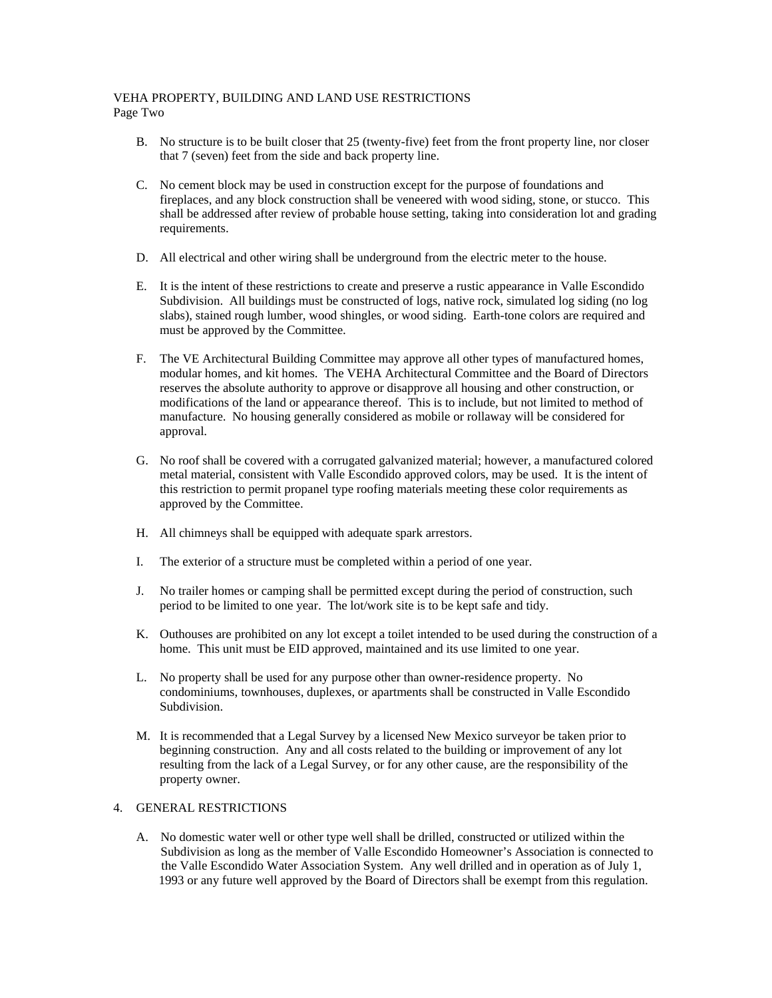### VEHA PROPERTY, BUILDING AND LAND USE RESTRICTIONS Page Two

- B. No structure is to be built closer that 25 (twenty-five) feet from the front property line, nor closer that 7 (seven) feet from the side and back property line.
- C. No cement block may be used in construction except for the purpose of foundations and fireplaces, and any block construction shall be veneered with wood siding, stone, or stucco. This shall be addressed after review of probable house setting, taking into consideration lot and grading requirements.
- D. All electrical and other wiring shall be underground from the electric meter to the house.
- E. It is the intent of these restrictions to create and preserve a rustic appearance in Valle Escondido Subdivision. All buildings must be constructed of logs, native rock, simulated log siding (no log slabs), stained rough lumber, wood shingles, or wood siding. Earth-tone colors are required and must be approved by the Committee.
- F. The VE Architectural Building Committee may approve all other types of manufactured homes, modular homes, and kit homes. The VEHA Architectural Committee and the Board of Directors reserves the absolute authority to approve or disapprove all housing and other construction, or modifications of the land or appearance thereof. This is to include, but not limited to method of manufacture. No housing generally considered as mobile or rollaway will be considered for approval.
- G. No roof shall be covered with a corrugated galvanized material; however, a manufactured colored metal material, consistent with Valle Escondido approved colors, may be used. It is the intent of this restriction to permit propanel type roofing materials meeting these color requirements as approved by the Committee.
- H. All chimneys shall be equipped with adequate spark arrestors.
- I. The exterior of a structure must be completed within a period of one year.
- J. No trailer homes or camping shall be permitted except during the period of construction, such period to be limited to one year. The lot/work site is to be kept safe and tidy.
- K. Outhouses are prohibited on any lot except a toilet intended to be used during the construction of a home. This unit must be EID approved, maintained and its use limited to one year.
- L. No property shall be used for any purpose other than owner-residence property. No condominiums, townhouses, duplexes, or apartments shall be constructed in Valle Escondido Subdivision.
- M. It is recommended that a Legal Survey by a licensed New Mexico surveyor be taken prior to beginning construction. Any and all costs related to the building or improvement of any lot resulting from the lack of a Legal Survey, or for any other cause, are the responsibility of the property owner.

## 4. GENERAL RESTRICTIONS

A. No domestic water well or other type well shall be drilled, constructed or utilized within the Subdivision as long as the member of Valle Escondido Homeowner's Association is connected to the Valle Escondido Water Association System. Any well drilled and in operation as of July 1, 1993 or any future well approved by the Board of Directors shall be exempt from this regulation.